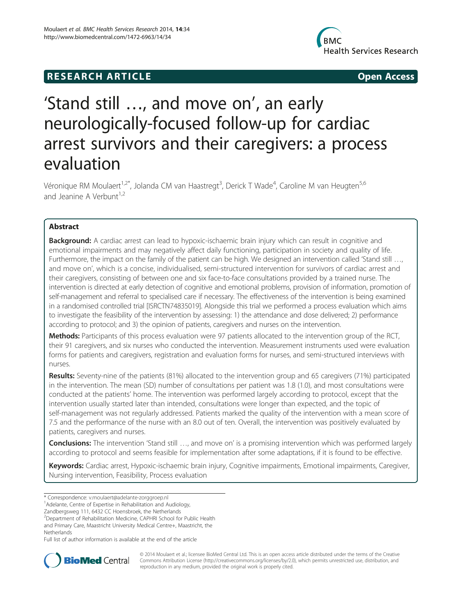## **RESEARCH ARTICLE Example 2014 The SEAR CH ACCESS**



# 'Stand still …, and move on', an early neurologically-focused follow-up for cardiac arrest survivors and their caregivers: a process evaluation

Véronique RM Moulaert<sup>1,2\*</sup>, Jolanda CM van Haastregt<sup>3</sup>, Derick T Wade<sup>4</sup>, Caroline M van Heugten<sup>5,6</sup> and Jeanine A Verbunt $1,2$ 

## Abstract

Background: A cardiac arrest can lead to hypoxic-ischaemic brain injury which can result in cognitive and emotional impairments and may negatively affect daily functioning, participation in society and quality of life. Furthermore, the impact on the family of the patient can be high. We designed an intervention called 'Stand still …, and move on', which is a concise, individualised, semi-structured intervention for survivors of cardiac arrest and their caregivers, consisting of between one and six face-to-face consultations provided by a trained nurse. The intervention is directed at early detection of cognitive and emotional problems, provision of information, promotion of self-management and referral to specialised care if necessary. The effectiveness of the intervention is being examined in a randomised controlled trial [ISRCTN74835019]. Alongside this trial we performed a process evaluation which aims to investigate the feasibility of the intervention by assessing: 1) the attendance and dose delivered; 2) performance according to protocol; and 3) the opinion of patients, caregivers and nurses on the intervention.

Methods: Participants of this process evaluation were 97 patients allocated to the intervention group of the RCT, their 91 caregivers, and six nurses who conducted the intervention. Measurement instruments used were evaluation forms for patients and caregivers, registration and evaluation forms for nurses, and semi-structured interviews with nurses.

Results: Seventy-nine of the patients (81%) allocated to the intervention group and 65 caregivers (71%) participated in the intervention. The mean (SD) number of consultations per patient was 1.8 (1.0), and most consultations were conducted at the patients' home. The intervention was performed largely according to protocol, except that the intervention usually started later than intended, consultations were longer than expected, and the topic of self-management was not regularly addressed. Patients marked the quality of the intervention with a mean score of 7.5 and the performance of the nurse with an 8.0 out of ten. Overall, the intervention was positively evaluated by patients, caregivers and nurses.

Conclusions: The intervention 'Stand still ..., and move on' is a promising intervention which was performed largely according to protocol and seems feasible for implementation after some adaptations, if it is found to be effective.

Keywords: Cardiac arrest, Hypoxic-ischaemic brain injury, Cognitive impairments, Emotional impairments, Caregiver, Nursing intervention, Feasibility, Process evaluation

Zandbergsweg 111, 6432 CC Hoensbroek, the Netherlands

2 Department of Rehabilitation Medicine, CAPHRI School for Public Health

and Primary Care, Maastricht University Medical Centre+, Maastricht, the **Netherlands** 

Full list of author information is available at the end of the article



© 2014 Moulaert et al.; licensee BioMed Central Ltd. This is an open access article distributed under the terms of the Creative Commons Attribution License [\(http://creativecommons.org/licenses/by/2.0\)](http://creativecommons.org/licenses/by/2.0), which permits unrestricted use, distribution, and reproduction in any medium, provided the original work is properly cited.

<sup>\*</sup> Correspondence: [v.moulaert@adelante-zorggroep.nl](mailto:v.moulaert@adelante-zorggroep.nl) <sup>1</sup>

<sup>&</sup>lt;sup>1</sup> Adelante, Centre of Expertise in Rehabilitation and Audiology,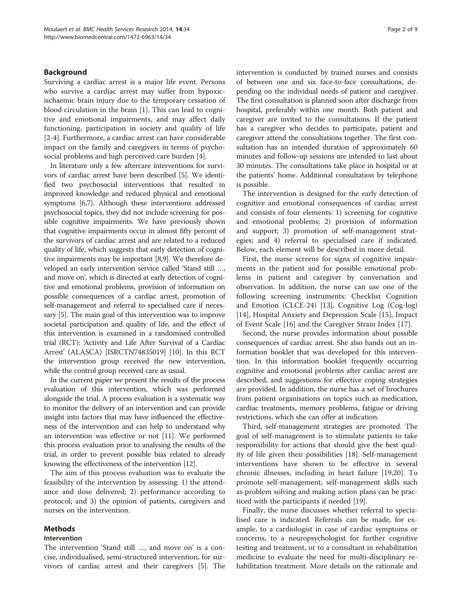#### Background

Surviving a cardiac arrest is a major life event. Persons who survive a cardiac arrest may suffer from hypoxicischaemic brain injury due to the temporary cessation of blood circulation in the brain [[1\]](#page-7-0). This can lead to cognitive and emotional impairments, and may affect daily functioning, participation in society and quality of life [[2-4](#page-7-0)]. Furthermore, a cardiac arrest can have considerable impact on the family and caregivers in terms of psychosocial problems and high perceived care burden [[4](#page-7-0)].

In literature only a few aftercare interventions for survivors of cardiac arrest have been described [[5](#page-8-0)]. We identified two psychosocial interventions that resulted in improved knowledge and reduced physical and emotional symptoms [\[6,7\]](#page-8-0). Although these interventions addressed psychosocial topics, they did not include screening for possible cognitive impairments. We have previously shown that cognitive impairments occur in almost fifty percent of the survivors of cardiac arrest and are related to a reduced quality of life, which suggests that early detection of cognitive impairments may be important [\[8,9\]](#page-8-0). We therefore developed an early intervention service called 'Stand still …, and move on', which is directed at early detection of cognitive and emotional problems, provision of information on possible consequences of a cardiac arrest, promotion of self-management and referral to specialised care if necessary [\[5\]](#page-8-0). The main goal of this intervention was to improve societal participation and quality of life, and the effect of this intervention is examined in a randomised controlled trial (RCT): 'Activity and Life After Survival of a Cardiac Arrest' (ALASCA) [ISRCTN74835019] [\[10\]](#page-8-0). In this RCT the intervention group received the new intervention, while the control group received care as usual.

In the current paper we present the results of the process evaluation of this intervention, which was performed alongside the trial. A process evaluation is a systematic way to monitor the delivery of an intervention and can provide insight into factors that may have influenced the effectiveness of the intervention and can help to understand why an intervention was effective or not [\[11](#page-8-0)]. We performed this process evaluation prior to analysing the results of the trial, in order to prevent possible bias related to already knowing the effectiveness of the intervention [\[12\]](#page-8-0).

The aim of this process evaluation was to evaluate the feasibility of the intervention by assessing: 1) the attendance and dose delivered; 2) performance according to protocol; and 3) the opinion of patients, caregivers and nurses on the intervention.

## Methods

#### Intervention

The intervention 'Stand still …, and move on' is a concise, individualised, semi-structured intervention, for survivors of cardiac arrest and their caregivers [\[5](#page-8-0)]. The intervention is conducted by trained nurses and consists of between one and six face-to-face consultations, depending on the individual needs of patient and caregiver. The first consultation is planned soon after discharge from hospital, preferably within one month. Both patient and caregiver are invited to the consultations. If the patient has a caregiver who decides to participate, patient and caregiver attend the consultations together. The first consultation has an intended duration of approximately 60 minutes and follow-up sessions are intended to last about 30 minutes. The consultations take place in hospital or at the patients' home. Additional consultation by telephone is possible.

The intervention is designed for the early detection of cognitive and emotional consequences of cardiac arrest and consists of four elements: 1) screening for cognitive and emotional problems; 2) provision of information and support; 3) promotion of self-management strategies; and 4) referral to specialised care if indicated. Below, each element will be described in more detail.

First, the nurse screens for signs of cognitive impairments in the patient and for possible emotional problems in patient and caregiver by conversation and observation. In addition, the nurse can use one of the following screening instruments: Checklist Cognition and Emotion (CLCE-24) [\[13\]](#page-8-0), Cognitive Log (Cog-log) [[14\]](#page-8-0), Hospital Anxiety and Depression Scale [[15\]](#page-8-0), Impact of Event Scale [\[16](#page-8-0)] and the Caregiver Strain Index [\[17](#page-8-0)].

Second, the nurse provides information about possible consequences of cardiac arrest. She also hands out an information booklet that was developed for this intervention. In this information booklet frequently occurring cognitive and emotional problems after cardiac arrest are described, and suggestions for effective coping strategies are provided. In addition, the nurse has a set of brochures from patient organisations on topics such as medication, cardiac treatments, memory problems, fatigue or driving restrictions, which she can offer at indication.

Third, self-management strategies are promoted. The goal of self-management is to stimulate patients to take responsibility for actions that should give the best quality of life given their possibilities [[18](#page-8-0)]. Self-management interventions have shown to be effective in several chronic illnesses, including in heart failure [\[19,20\]](#page-8-0). To promote self-management, self-management skills such as problem solving and making action plans can be practiced with the participants if needed [[19](#page-8-0)].

Finally, the nurse discusses whether referral to specialised care is indicated. Referrals can be made, for example, to a cardiologist in case of cardiac symptoms or concerns, to a neuropsychologist for further cognitive testing and treatment, or to a consultant in rehabilitation medicine to evaluate the need for multi-disciplinary rehabilitation treatment. More details on the rationale and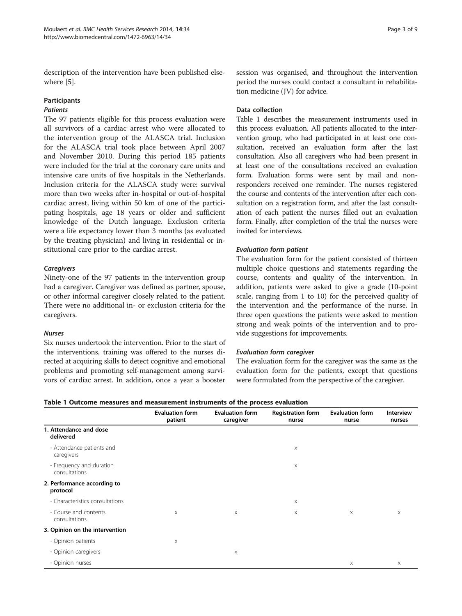description of the intervention have been published elsewhere [\[5](#page-8-0)].

## Participants

## Patients

The 97 patients eligible for this process evaluation were all survivors of a cardiac arrest who were allocated to the intervention group of the ALASCA trial. Inclusion for the ALASCA trial took place between April 2007 and November 2010. During this period 185 patients were included for the trial at the coronary care units and intensive care units of five hospitals in the Netherlands. Inclusion criteria for the ALASCA study were: survival more than two weeks after in-hospital or out-of-hospital cardiac arrest, living within 50 km of one of the participating hospitals, age 18 years or older and sufficient knowledge of the Dutch language. Exclusion criteria were a life expectancy lower than 3 months (as evaluated by the treating physician) and living in residential or institutional care prior to the cardiac arrest.

## **Caregivers**

Ninety-one of the 97 patients in the intervention group had a caregiver. Caregiver was defined as partner, spouse, or other informal caregiver closely related to the patient. There were no additional in- or exclusion criteria for the caregivers.

#### Nurses

Six nurses undertook the intervention. Prior to the start of the interventions, training was offered to the nurses directed at acquiring skills to detect cognitive and emotional problems and promoting self-management among survivors of cardiac arrest. In addition, once a year a booster

session was organised, and throughout the intervention period the nurses could contact a consultant in rehabilitation medicine (JV) for advice.

## Data collection

Table 1 describes the measurement instruments used in this process evaluation. All patients allocated to the intervention group, who had participated in at least one consultation, received an evaluation form after the last consultation. Also all caregivers who had been present in at least one of the consultations received an evaluation form. Evaluation forms were sent by mail and nonresponders received one reminder. The nurses registered the course and contents of the intervention after each consultation on a registration form, and after the last consultation of each patient the nurses filled out an evaluation form. Finally, after completion of the trial the nurses were invited for interviews.

#### Evaluation form patient

The evaluation form for the patient consisted of thirteen multiple choice questions and statements regarding the course, contents and quality of the intervention. In addition, patients were asked to give a grade (10-point scale, ranging from 1 to 10) for the perceived quality of the intervention and the performance of the nurse. In three open questions the patients were asked to mention strong and weak points of the intervention and to provide suggestions for improvements.

#### Evaluation form caregiver

The evaluation form for the caregiver was the same as the evaluation form for the patients, except that questions were formulated from the perspective of the caregiver.

| Table 1 Outcome measures and measurement instruments of the process evaluation |  |  |  |  |
|--------------------------------------------------------------------------------|--|--|--|--|
|--------------------------------------------------------------------------------|--|--|--|--|

|                                           | <b>Evaluation form</b><br>patient | <b>Evaluation form</b><br>caregiver | <b>Registration form</b><br>nurse | <b>Evaluation form</b><br>nurse | <b>Interview</b><br>nurses |
|-------------------------------------------|-----------------------------------|-------------------------------------|-----------------------------------|---------------------------------|----------------------------|
| 1. Attendance and dose<br>delivered       |                                   |                                     |                                   |                                 |                            |
| - Attendance patients and<br>caregivers   |                                   |                                     | $\boldsymbol{\times}$             |                                 |                            |
| - Frequency and duration<br>consultations |                                   |                                     | X                                 |                                 |                            |
| 2. Performance according to<br>protocol   |                                   |                                     |                                   |                                 |                            |
| - Characteristics consultations           |                                   |                                     | $\boldsymbol{\times}$             |                                 |                            |
| - Course and contents<br>consultations    | $\times$                          | X                                   | X                                 | X                               | X                          |
| 3. Opinion on the intervention            |                                   |                                     |                                   |                                 |                            |
| - Opinion patients                        | X                                 |                                     |                                   |                                 |                            |
| - Opinion caregivers                      |                                   | X                                   |                                   |                                 |                            |
| - Opinion nurses                          |                                   |                                     |                                   | X                               | X                          |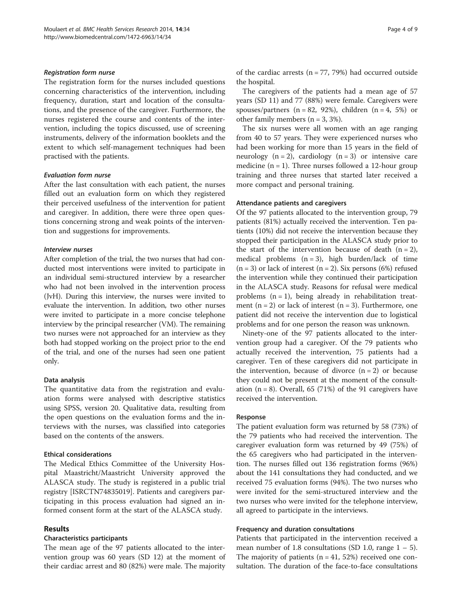#### Registration form nurse

The registration form for the nurses included questions concerning characteristics of the intervention, including frequency, duration, start and location of the consultations, and the presence of the caregiver. Furthermore, the nurses registered the course and contents of the intervention, including the topics discussed, use of screening instruments, delivery of the information booklets and the extent to which self-management techniques had been practised with the patients.

#### Evaluation form nurse

After the last consultation with each patient, the nurses filled out an evaluation form on which they registered their perceived usefulness of the intervention for patient and caregiver. In addition, there were three open questions concerning strong and weak points of the intervention and suggestions for improvements.

#### Interview nurses

After completion of the trial, the two nurses that had conducted most interventions were invited to participate in an individual semi-structured interview by a researcher who had not been involved in the intervention process (JvH). During this interview, the nurses were invited to evaluate the intervention. In addition, two other nurses were invited to participate in a more concise telephone interview by the principal researcher (VM). The remaining two nurses were not approached for an interview as they both had stopped working on the project prior to the end of the trial, and one of the nurses had seen one patient only.

#### Data analysis

The quantitative data from the registration and evaluation forms were analysed with descriptive statistics using SPSS, version 20. Qualitative data, resulting from the open questions on the evaluation forms and the interviews with the nurses, was classified into categories based on the contents of the answers.

#### Ethical considerations

The Medical Ethics Committee of the University Hospital Maastricht/Maastricht University approved the ALASCA study. The study is registered in a public trial registry [ISRCTN74835019]. Patients and caregivers participating in this process evaluation had signed an informed consent form at the start of the ALASCA study.

## Results

#### Characteristics participants

The mean age of the 97 patients allocated to the intervention group was 60 years (SD 12) at the moment of their cardiac arrest and 80 (82%) were male. The majority of the cardiac arrests ( $n = 77, 79\%$ ) had occurred outside the hospital.

The caregivers of the patients had a mean age of 57 years (SD 11) and 77 (88%) were female. Caregivers were spouses/partners ( $n = 82$ , 92%), children ( $n = 4$ , 5%) or other family members  $(n = 3, 3\%)$ .

The six nurses were all women with an age ranging from 40 to 57 years. They were experienced nurses who had been working for more than 15 years in the field of neurology  $(n = 2)$ , cardiology  $(n = 3)$  or intensive care medicine  $(n = 1)$ . Three nurses followed a 12-hour group training and three nurses that started later received a more compact and personal training.

#### Attendance patients and caregivers

Of the 97 patients allocated to the intervention group, 79 patients (81%) actually received the intervention. Ten patients (10%) did not receive the intervention because they stopped their participation in the ALASCA study prior to the start of the intervention because of death  $(n = 2)$ , medical problems  $(n = 3)$ , high burden/lack of time  $(n = 3)$  or lack of interest  $(n = 2)$ . Six persons (6%) refused the intervention while they continued their participation in the ALASCA study. Reasons for refusal were medical problems  $(n = 1)$ , being already in rehabilitation treatment  $(n = 2)$  or lack of interest  $(n = 3)$ . Furthermore, one patient did not receive the intervention due to logistical problems and for one person the reason was unknown.

Ninety-one of the 97 patients allocated to the intervention group had a caregiver. Of the 79 patients who actually received the intervention, 75 patients had a caregiver. Ten of these caregivers did not participate in the intervention, because of divorce  $(n = 2)$  or because they could not be present at the moment of the consultation  $(n = 8)$ . Overall, 65 (71%) of the 91 caregivers have received the intervention.

#### Response

The patient evaluation form was returned by 58 (73%) of the 79 patients who had received the intervention. The caregiver evaluation form was returned by 49 (75%) of the 65 caregivers who had participated in the intervention. The nurses filled out 136 registration forms (96%) about the 141 consultations they had conducted, and we received 75 evaluation forms (94%). The two nurses who were invited for the semi-structured interview and the two nurses who were invited for the telephone interview, all agreed to participate in the interviews.

#### Frequency and duration consultations

Patients that participated in the intervention received a mean number of 1.8 consultations (SD 1.0, range  $1 - 5$ ). The majority of patients  $(n = 41, 52%)$  received one consultation. The duration of the face-to-face consultations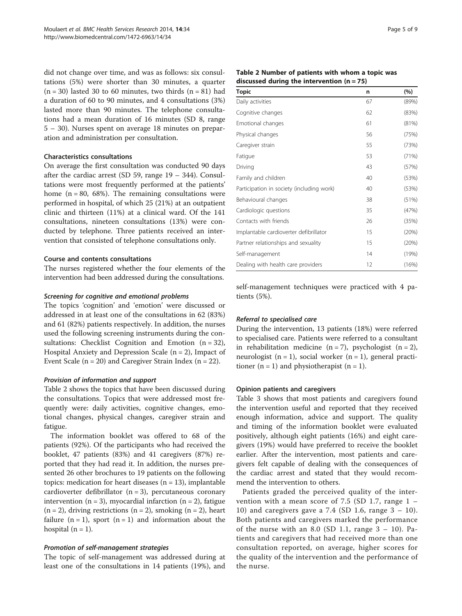did not change over time, and was as follows: six consultations (5%) were shorter than 30 minutes, a quarter  $(n = 30)$  lasted 30 to 60 minutes, two thirds  $(n = 81)$  had a duration of 60 to 90 minutes, and 4 consultations (3%) lasted more than 90 minutes. The telephone consultations had a mean duration of 16 minutes (SD 8, range 5 – 30). Nurses spent on average 18 minutes on preparation and administration per consultation.

### Characteristics consultations

On average the first consultation was conducted 90 days after the cardiac arrest (SD 59, range 19 – 344). Consultations were most frequently performed at the patients' home  $(n = 80, 68%)$ . The remaining consultations were performed in hospital, of which 25 (21%) at an outpatient clinic and thirteen (11%) at a clinical ward. Of the 141 consultations, nineteen consultations (13%) were conducted by telephone. Three patients received an intervention that consisted of telephone consultations only.

#### Course and contents consultations

The nurses registered whether the four elements of the intervention had been addressed during the consultations.

#### Screening for cognitive and emotional problems

The topics 'cognition' and 'emotion' were discussed or addressed in at least one of the consultations in 62 (83%) and 61 (82%) patients respectively. In addition, the nurses used the following screening instruments during the consultations: Checklist Cognition and Emotion  $(n = 32)$ , Hospital Anxiety and Depression Scale  $(n = 2)$ , Impact of Event Scale ( $n = 20$ ) and Caregiver Strain Index ( $n = 22$ ).

#### Provision of information and support

Table 2 shows the topics that have been discussed during the consultations. Topics that were addressed most frequently were: daily activities, cognitive changes, emotional changes, physical changes, caregiver strain and fatigue.

The information booklet was offered to 68 of the patients (92%). Of the participants who had received the booklet, 47 patients (83%) and 41 caregivers (87%) reported that they had read it. In addition, the nurses presented 26 other brochures to 19 patients on the following topics: medication for heart diseases  $(n = 13)$ , implantable cardioverter defibrillator  $(n = 3)$ , percutaneous coronary intervention ( $n = 3$ ), myocardial infarction ( $n = 2$ ), fatigue  $(n = 2)$ , driving restrictions  $(n = 2)$ , smoking  $(n = 2)$ , heart failure  $(n = 1)$ , sport  $(n = 1)$  and information about the hospital  $(n = 1)$ .

#### Promotion of self-management strategies

The topic of self-management was addressed during at least one of the consultations in 14 patients (19%), and

| Table 2 Number of patients with whom a topic was |  |
|--------------------------------------------------|--|
| discussed during the intervention $(n = 75)$     |  |

| <b>Topic</b>                              | n  | (%)   |
|-------------------------------------------|----|-------|
| Daily activities                          | 67 | (89%) |
| Cognitive changes                         | 62 | (83%) |
| Emotional changes                         | 61 | (81%) |
| Physical changes                          | 56 | (75%) |
| Caregiver strain                          | 55 | (73%) |
| Fatigue                                   | 53 | (71%) |
| Driving                                   | 43 | (57%) |
| Family and children                       | 40 | (53%) |
| Participation in society (including work) | 40 | (53%) |
| Behavioural changes                       | 38 | (51%) |
| Cardiologic questions                     | 35 | (47%) |
| Contacts with friends                     | 26 | (35%) |
| Implantable cardioverter defibrillator    | 15 | (20%) |
| Partner relationships and sexuality       | 15 | (20%) |
| Self-management                           | 14 | (19%) |
| Dealing with health care providers        | 12 | (16%) |

self-management techniques were practiced with 4 patients (5%).

#### Referral to specialised care

During the intervention, 13 patients (18%) were referred to specialised care. Patients were referred to a consultant in rehabilitation medicine  $(n = 7)$ , psychologist  $(n = 2)$ , neurologist  $(n = 1)$ , social worker  $(n = 1)$ , general practitioner  $(n = 1)$  and physiotherapist  $(n = 1)$ .

#### Opinion patients and caregivers

Table [3](#page-5-0) shows that most patients and caregivers found the intervention useful and reported that they received enough information, advice and support. The quality and timing of the information booklet were evaluated positively, although eight patients (16%) and eight caregivers (19%) would have preferred to receive the booklet earlier. After the intervention, most patients and caregivers felt capable of dealing with the consequences of the cardiac arrest and stated that they would recommend the intervention to others.

Patients graded the perceived quality of the intervention with a mean score of 7.5 (SD 1.7, range 1 – 10) and caregivers gave a 7.4 (SD 1.6, range  $3 - 10$ ). Both patients and caregivers marked the performance of the nurse with an 8.0 (SD 1.1, range  $3 - 10$ ). Patients and caregivers that had received more than one consultation reported, on average, higher scores for the quality of the intervention and the performance of the nurse.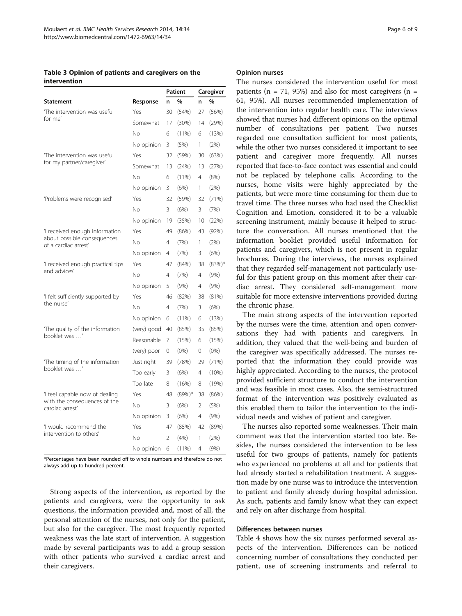<span id="page-5-0"></span>Table 3 Opinion of patients and caregivers on the intervention

|                                                     |             | Patient |           | Caregiver      |           |
|-----------------------------------------------------|-------------|---------|-----------|----------------|-----------|
| Statement                                           | Response    | n       | %         | n              | %         |
| The intervention was useful                         | Yes         | 30      | (54%)     | 27             | (56%)     |
| for me'                                             | Somewhat    | 17      | (30%)     | 14             | (29%)     |
|                                                     | No          | 6       | $(11\%)$  | 6              | (13%)     |
|                                                     | No opinion  | 3       | (5%)      | 1              | (2%)      |
| The intervention was useful                         | Yes         | 32      | (59%)     | 30             | (63%)     |
| for my partner/caregiver'                           | Somewhat    | 13      | (24%)     | 13             | (27%)     |
|                                                     | No          | 6       | (11%)     | 4              | (8%)      |
|                                                     | No opinion  | 3       | (6%)      | 1              | (2%)      |
| 'Problems were recognised'                          | Yes         | 32      | (59%)     | 32             | (71%)     |
|                                                     | Nο.         | 3       | (6%)      | 3              | (7%)      |
|                                                     | No opinion  | 19      | (35%)     | 10             | (22%)     |
| 'I received enough information                      | Yes         | 49      | (86%)     | 43             | (92%)     |
| about possible consequences<br>of a cardiac arrest' | No          | 4       | (7%)      | 1              | (2%)      |
|                                                     | No opinion  | 4       | (7%)      | 3              | (6%)      |
| 'I received enough practical tips                   | Yes         | 47      | (84%)     | 38             | $(83%)^*$ |
| and advices'                                        | No          | 4       | (7%)      | 4              | (9% )     |
|                                                     | No opinion  | 5       | (9%)      | 4              | $(9\%)$   |
| 'I felt sufficiently supported by                   | Yes         | 46      | (82%)     | 38             | (81%)     |
|                                                     | No          | 4       | (7%)      | 3              | (6%)      |
|                                                     | No opinion  | 6       | (11%)     | 6              | (13%)     |
| The quality of the information                      | (very) good | 40      | (85%)     | 35             | (85%)     |
| the nurse'<br>hooklet was '                         | Reasonable  | 7       | (15%)     | 6              | (15%)     |
|                                                     | (very) poor | 0       | $(0\%)$   | 0              | $(0\%)$   |
| The timing of the information                       | Just right  | 39      | (78%)     | 29             | (71%)     |
| booklet was '                                       | Too early   | 3       | (6%)      | $\overline{4}$ | $(10\%)$  |
|                                                     | Too late    | 8       | (16%)     | 8              | (19%)     |
| 'I feel capable now of dealing                      | Yes         | 48      | $(89%)$ * | 38             | (86%)     |
| with the consequences of the<br>cardiac arrest'     | No.         | 3       | (6%)      | 2              | (5%)      |
|                                                     | No opinion  | 3       | (6%)      | 4              | (9% )     |
| 'I would recommend the                              | Yes         | 47      | (85%)     | 42             | (89%)     |
| intervention to others'                             | No          | 2       | (4% )     | 1              | (2%)      |
|                                                     | No opinion  | 6       | (11%)     | 4              | (9% )     |

\*Percentages have been rounded off to whole numbers and therefore do not always add up to hundred percent.

Strong aspects of the intervention, as reported by the patients and caregivers, were the opportunity to ask questions, the information provided and, most of all, the personal attention of the nurses, not only for the patient, but also for the caregiver. The most frequently reported weakness was the late start of intervention. A suggestion made by several participants was to add a group session with other patients who survived a cardiac arrest and their caregivers.

#### Opinion nurses

The nurses considered the intervention useful for most patients ( $n = 71$ , 95%) and also for most caregivers ( $n =$ 61, 95%). All nurses recommended implementation of the intervention into regular health care. The interviews showed that nurses had different opinions on the optimal number of consultations per patient. Two nurses regarded one consultation sufficient for most patients, while the other two nurses considered it important to see patient and caregiver more frequently. All nurses reported that face-to-face contact was essential and could not be replaced by telephone calls. According to the nurses, home visits were highly appreciated by the patients, but were more time consuming for them due to travel time. The three nurses who had used the Checklist Cognition and Emotion, considered it to be a valuable screening instrument, mainly because it helped to structure the conversation. All nurses mentioned that the information booklet provided useful information for patients and caregivers, which is not present in regular brochures. During the interviews, the nurses explained that they regarded self-management not particularly useful for this patient group on this moment after their cardiac arrest. They considered self-management more suitable for more extensive interventions provided during the chronic phase.

The main strong aspects of the intervention reported by the nurses were the time, attention and open conversations they had with patients and caregivers. In addition, they valued that the well-being and burden of the caregiver was specifically addressed. The nurses reported that the information they could provide was highly appreciated. According to the nurses, the protocol provided sufficient structure to conduct the intervention and was feasible in most cases. Also, the semi-structured format of the intervention was positively evaluated as this enabled them to tailor the intervention to the individual needs and wishes of patient and caregiver.

The nurses also reported some weaknesses. Their main comment was that the intervention started too late. Besides, the nurses considered the intervention to be less useful for two groups of patients, namely for patients who experienced no problems at all and for patients that had already started a rehabilitation treatment. A suggestion made by one nurse was to introduce the intervention to patient and family already during hospital admission. As such, patients and family know what they can expect and rely on after discharge from hospital.

#### Differences between nurses

Table [4](#page-6-0) shows how the six nurses performed several aspects of the intervention. Differences can be noticed concerning number of consultations they conducted per patient, use of screening instruments and referral to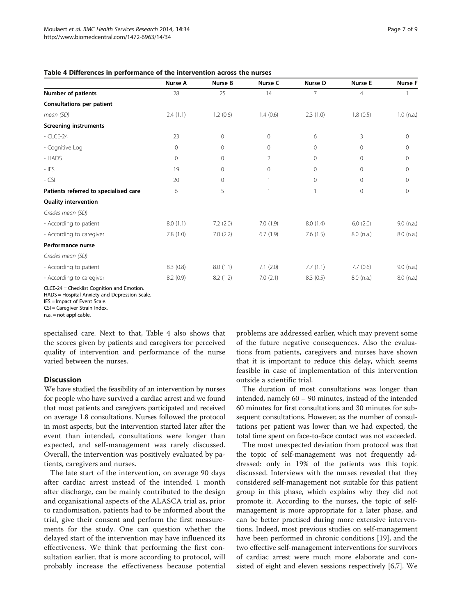<span id="page-6-0"></span>

| Table 4 Differences in performance of the intervention across the nurses |  |  |
|--------------------------------------------------------------------------|--|--|
|--------------------------------------------------------------------------|--|--|

|                                       | Nurse A     | Nurse B      | Nurse C        | Nurse D     | <b>Nurse E</b> | <b>Nurse F</b> |
|---------------------------------------|-------------|--------------|----------------|-------------|----------------|----------------|
| <b>Number of patients</b>             | 28          | 25           | 14             | 7           | $\overline{4}$ |                |
| Consultations per patient             |             |              |                |             |                |                |
| mean (SD)                             | 2.4(1.1)    | 1.2(0.6)     | 1.4(0.6)       | 2.3(1.0)    | 1.8(0.5)       | $1.0$ (n.a.)   |
| <b>Screening instruments</b>          |             |              |                |             |                |                |
| $-$ CLCE-24                           | 23          | $\mathbf{0}$ | 0              | 6           | 3              | $\mathbf 0$    |
| - Cognitive Log                       | $\mathbf 0$ | $\mathbf{0}$ | 0              | $\circ$     | $\mathbf 0$    | $\mathbf{0}$   |
| - HADS                                | $\mathbf 0$ | $\circ$      | $\overline{2}$ | $\mathbf 0$ | $\Omega$       | $\mathbf{0}$   |
| $-$ IES                               | 19          | $\mathbf{0}$ | 0              | $\mathbf 0$ | $\Omega$       | 0              |
| $-$ CSI                               | 20          | $\mathbf{0}$ |                | $\mathbf 0$ | $\Omega$       | $\Omega$       |
| Patients referred to specialised care | 6           | 5            |                | 1           | $\mathbf 0$    | $\mathbf{0}$   |
| <b>Quality intervention</b>           |             |              |                |             |                |                |
| Grades mean (SD)                      |             |              |                |             |                |                |
| - According to patient                | 8.0(1.1)    | 7.2(2.0)     | 7.0(1.9)       | 8.0(1.4)    | 6.0(2.0)       | $9.0$ (n.a.)   |
| - According to caregiver              | 7.8(1.0)    | 7.0(2.2)     | 6.7(1.9)       | 7.6(1.5)    | $8.0$ (n.a.)   | $8.0$ (n.a.)   |
| Performance nurse                     |             |              |                |             |                |                |
| Grades mean (SD)                      |             |              |                |             |                |                |
| - According to patient                | 8.3(0.8)    | 8.0(1.1)     | 7.1(2.0)       | 7.7(1.1)    | 7.7(0.6)       | $9.0$ (n.a.)   |
| - According to caregiver              | 8.2(0.9)    | 8.2(1.2)     | 7.0(2.1)       | 8.3(0.5)    | $8.0$ (n.a.)   | $8.0$ (n.a.)   |

CLCE-24 = Checklist Cognition and Emotion.

HADS = Hospital Anxiety and Depression Scale.

IES = Impact of Event Scale.

CSI = Caregiver Strain Index.  $n.a. = not a  
policable.$ 

specialised care. Next to that, Table 4 also shows that the scores given by patients and caregivers for perceived quality of intervention and performance of the nurse varied between the nurses.

#### **Discussion**

We have studied the feasibility of an intervention by nurses for people who have survived a cardiac arrest and we found that most patients and caregivers participated and received on average 1.8 consultations. Nurses followed the protocol in most aspects, but the intervention started later after the event than intended, consultations were longer than expected, and self-management was rarely discussed. Overall, the intervention was positively evaluated by patients, caregivers and nurses.

The late start of the intervention, on average 90 days after cardiac arrest instead of the intended 1 month after discharge, can be mainly contributed to the design and organisational aspects of the ALASCA trial as, prior to randomisation, patients had to be informed about the trial, give their consent and perform the first measurements for the study. One can question whether the delayed start of the intervention may have influenced its effectiveness. We think that performing the first consultation earlier, that is more according to protocol, will probably increase the effectiveness because potential

problems are addressed earlier, which may prevent some of the future negative consequences. Also the evaluations from patients, caregivers and nurses have shown that it is important to reduce this delay, which seems feasible in case of implementation of this intervention outside a scientific trial.

The duration of most consultations was longer than intended, namely 60 – 90 minutes, instead of the intended 60 minutes for first consultations and 30 minutes for subsequent consultations. However, as the number of consultations per patient was lower than we had expected, the total time spent on face-to-face contact was not exceeded.

The most unexpected deviation from protocol was that the topic of self-management was not frequently addressed: only in 19% of the patients was this topic discussed. Interviews with the nurses revealed that they considered self-management not suitable for this patient group in this phase, which explains why they did not promote it. According to the nurses, the topic of selfmanagement is more appropriate for a later phase, and can be better practised during more extensive interventions. Indeed, most previous studies on self-management have been performed in chronic conditions [\[19\]](#page-8-0), and the two effective self-management interventions for survivors of cardiac arrest were much more elaborate and consisted of eight and eleven sessions respectively [[6](#page-8-0),[7\]](#page-8-0). We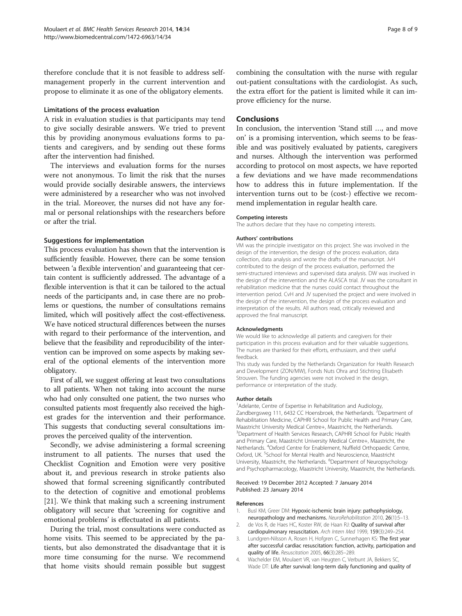<span id="page-7-0"></span>therefore conclude that it is not feasible to address selfmanagement properly in the current intervention and propose to eliminate it as one of the obligatory elements.

#### Limitations of the process evaluation

A risk in evaluation studies is that participants may tend to give socially desirable answers. We tried to prevent this by providing anonymous evaluations forms to patients and caregivers, and by sending out these forms after the intervention had finished.

The interviews and evaluation forms for the nurses were not anonymous. To limit the risk that the nurses would provide socially desirable answers, the interviews were administered by a researcher who was not involved in the trial. Moreover, the nurses did not have any formal or personal relationships with the researchers before or after the trial.

#### Suggestions for implementation

This process evaluation has shown that the intervention is sufficiently feasible. However, there can be some tension between 'a flexible intervention' and guaranteeing that certain content is sufficiently addressed. The advantage of a flexible intervention is that it can be tailored to the actual needs of the participants and, in case there are no problems or questions, the number of consultations remains limited, which will positively affect the cost-effectiveness. We have noticed structural differences between the nurses with regard to their performance of the intervention, and believe that the feasibility and reproducibility of the intervention can be improved on some aspects by making several of the optional elements of the intervention more obligatory.

First of all, we suggest offering at least two consultations to all patients. When not taking into account the nurse who had only consulted one patient, the two nurses who consulted patients most frequently also received the highest grades for the intervention and their performance. This suggests that conducting several consultations improves the perceived quality of the intervention.

Secondly, we advise administering a formal screening instrument to all patients. The nurses that used the Checklist Cognition and Emotion were very positive about it, and previous research in stroke patients also showed that formal screening significantly contributed to the detection of cognitive and emotional problems [[21\]](#page-8-0). We think that making such a screening instrument obligatory will secure that 'screening for cognitive and emotional problems' is effectuated in all patients.

During the trial, most consultations were conducted as home visits. This seemed to be appreciated by the patients, but also demonstrated the disadvantage that it is more time consuming for the nurse. We recommend that home visits should remain possible but suggest combining the consultation with the nurse with regular out-patient consultations with the cardiologist. As such, the extra effort for the patient is limited while it can improve efficiency for the nurse.

#### **Conclusions**

In conclusion, the intervention 'Stand still …, and move on' is a promising intervention, which seems to be feasible and was positively evaluated by patients, caregivers and nurses. Although the intervention was performed according to protocol on most aspects, we have reported a few deviations and we have made recommendations how to address this in future implementation. If the intervention turns out to be (cost-) effective we recommend implementation in regular health care.

#### Competing interests

The authors declare that they have no competing interests.

#### Authors' contributions

VM was the principle investigator on this project. She was involved in the design of the intervention, the design of the process evaluation, data collection, data analysis and wrote the drafts of the manuscript. JvH contributed to the design of the process evaluation, performed the semi-structured interviews and supervised data analysis. DW was involved in the design of the intervention and the ALASCA trial. JV was the consultant in rehabilitation medicine that the nurses could contact throughout the intervention period. CvH and JV supervised the project and were involved in the design of the intervention, the design of the process evaluation and interpretation of the results. All authors read, critically reviewed and approved the final manuscript.

#### Acknowledgments

We would like to acknowledge all patients and caregivers for their participation in this process evaluation and for their valuable suggestions. The nurses are thanked for their efforts, enthusiasm, and their useful feedback.

This study was funded by the Netherlands Organization for Health Research and Development (ZON/MW), Fonds Nuts Ohra and Stichting Elisabeth Strouven. The funding agencies were not involved in the design, performance or interpretation of the study.

#### Author details

<sup>1</sup> Adelante, Centre of Expertise in Rehabilitation and Audiology, Zandbergsweg 111, 6432 CC Hoensbroek, the Netherlands. <sup>2</sup>Department of Rehabilitation Medicine, CAPHRI School for Public Health and Primary Care, Maastricht University Medical Centre+, Maastricht, the Netherlands. <sup>3</sup>Department of Health Services Research, CAPHRI School for Public Health and Primary Care, Maastricht University Medical Centre+, Maastricht, the Netherlands. <sup>4</sup> Oxford Centre for Enablement, Nuffield Orthopaedic Centre, Oxford, UK.<sup>5</sup>School for Mental Health and Neuroscience, Maastricht University, Maastricht, the Netherlands. <sup>6</sup>Department of Neuropsychology and Psychopharmacology, Maastricht University, Maastricht, the Netherlands.

#### Received: 19 December 2012 Accepted: 7 January 2014 Published: 23 January 2014

#### References

- 1. Busl KM, Greer DM: Hypoxic-ischemic brain injury: pathophysiology, neuropathology and mechanisms. NeuroRehabilitation 2010, 26(1):5–13.
- 2. de Vos R, de Haes HC, Koster RW, de Haan RJ: Quality of survival after cardiopulmonary resuscitation. Arch Intern Med 1999, 159(3):249–254.
- 3. Lundgren-Nilsson A, Rosen H, Hofgren C, Sunnerhagen KS: The first year after successful cardiac resuscitation: function, activity, participation and quality of life. Resuscitation 2005, 66(3):285–289.
- 4. Wachelder EM, Moulaert VR, van Heugten C, Verbunt JA, Bekkers SC, Wade DT: Life after survival: long-term daily functioning and quality of